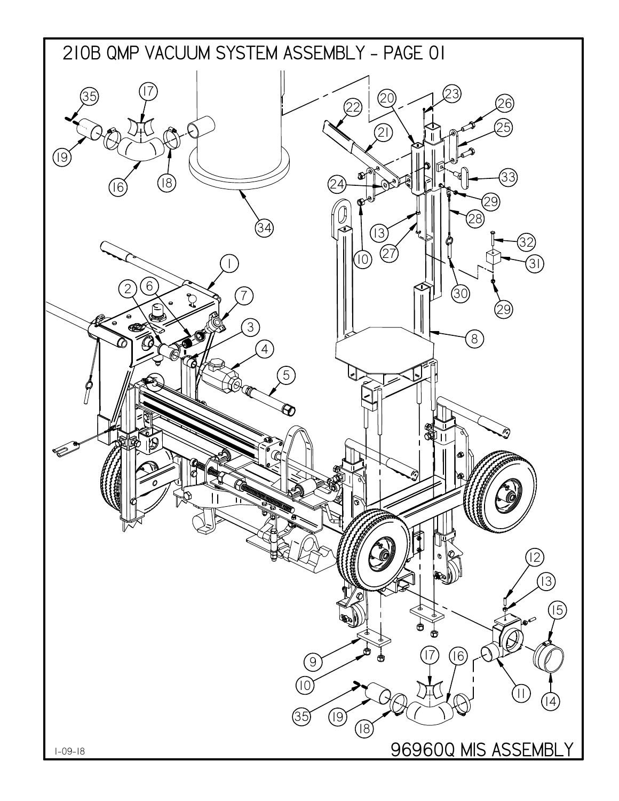